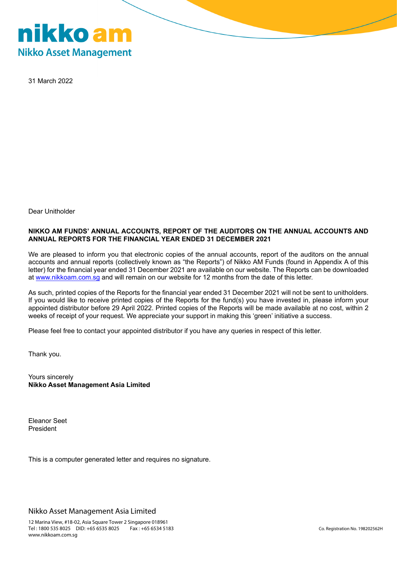

31 March 2022

Dear Unitholder

### **NIKKO AM FUNDS' ANNUAL ACCOUNTS, REPORT OF THE AUDITORS ON THE ANNUAL ACCOUNTS AND ANNUAL REPORTS FOR THE FINANCIAL YEAR ENDED 31 DECEMBER 2021**

We are pleased to inform you that electronic copies of the annual accounts, report of the auditors on the annual accounts and annual reports (collectively known as "the Reports") of Nikko AM Funds (found in Appendix A of this letter) for the financial year ended 31 December 2021 are available on our website. The Reports can be downloaded at [www.nikkoam.com.sg](http://www.nikkoam.com.sg/) and will remain on our website for 12 months from the date of this letter.

As such, printed copies of the Reports for the financial year ended 31 December 2021 will not be sent to unitholders. If you would like to receive printed copies of the Reports for the fund(s) you have invested in, please inform your appointed distributor before 29 April 2022. Printed copies of the Reports will be made available at no cost, within 2 weeks of receipt of your request. We appreciate your support in making this 'green' initiative a success.

Please feel free to contact your appointed distributor if you have any queries in respect of this letter.

Thank you.

Yours sincerely **Nikko Asset Management Asia Limited**

Eleanor Seet President

This is a computer generated letter and requires no signature.

Nikko Asset Management Asia Limited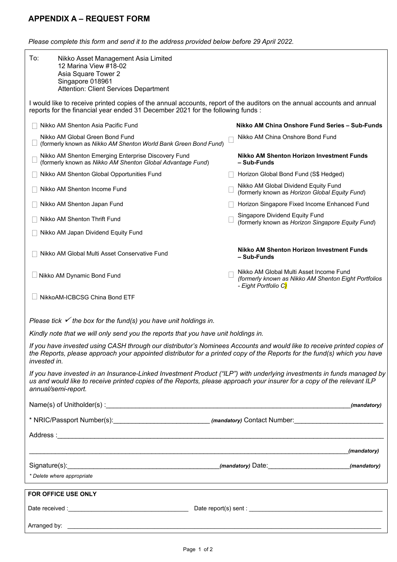# **APPENDIX A – REQUEST FORM**

*Please complete this form and send it to the address provided below before 29 April 2022.*

| To:                                                                                                                                                                                                                                                                      | Nikko Asset Management Asia Limited<br>12 Marina View #18-02<br>Asia Square Tower 2<br>Singapore 018961<br><b>Attention: Client Services Department</b> |  |                                                                                                                         |
|--------------------------------------------------------------------------------------------------------------------------------------------------------------------------------------------------------------------------------------------------------------------------|---------------------------------------------------------------------------------------------------------------------------------------------------------|--|-------------------------------------------------------------------------------------------------------------------------|
| I would like to receive printed copies of the annual accounts, report of the auditors on the annual accounts and annual<br>reports for the financial year ended 31 December 2021 for the following funds:                                                                |                                                                                                                                                         |  |                                                                                                                         |
|                                                                                                                                                                                                                                                                          | Nikko AM Shenton Asia Pacific Fund                                                                                                                      |  | Nikko AM China Onshore Fund Series - Sub-Funds                                                                          |
|                                                                                                                                                                                                                                                                          | Nikko AM Global Green Bond Fund<br>(formerly known as Nikko AM Shenton World Bank Green Bond Fund)                                                      |  | Nikko AM China Onshore Bond Fund                                                                                        |
|                                                                                                                                                                                                                                                                          | Nikko AM Shenton Emerging Enterprise Discovery Fund<br>(formerly known as Nikko AM Shenton Global Advantage Fund)                                       |  | Nikko AM Shenton Horizon Investment Funds<br>- Sub-Funds                                                                |
|                                                                                                                                                                                                                                                                          | Nikko AM Shenton Global Opportunities Fund                                                                                                              |  | Horizon Global Bond Fund (S\$ Hedged)                                                                                   |
|                                                                                                                                                                                                                                                                          | Nikko AM Shenton Income Fund                                                                                                                            |  | Nikko AM Global Dividend Equity Fund<br>(formerly known as Horizon Global Equity Fund)                                  |
|                                                                                                                                                                                                                                                                          | Nikko AM Shenton Japan Fund                                                                                                                             |  | Horizon Singapore Fixed Income Enhanced Fund                                                                            |
|                                                                                                                                                                                                                                                                          | Nikko AM Shenton Thrift Fund                                                                                                                            |  | Singapore Dividend Equity Fund<br>(formerly known as Horizon Singapore Equity Fund)                                     |
|                                                                                                                                                                                                                                                                          | Nikko AM Japan Dividend Equity Fund                                                                                                                     |  |                                                                                                                         |
|                                                                                                                                                                                                                                                                          | Nikko AM Global Multi Asset Conservative Fund                                                                                                           |  | <b>Nikko AM Shenton Horizon Investment Funds</b><br>- Sub-Funds                                                         |
|                                                                                                                                                                                                                                                                          | □ Nikko AM Dynamic Bond Fund                                                                                                                            |  | Nikko AM Global Multi Asset Income Fund<br>(formerly known as Nikko AM Shenton Eight Portfolios<br>- Eight Portfolio C) |
|                                                                                                                                                                                                                                                                          | NikkoAM-ICBCSG China Bond ETF                                                                                                                           |  |                                                                                                                         |
| Please tick $\checkmark$ the box for the fund(s) you have unit holdings in.<br>Kindly note that we will only send you the reports that you have unit holdings in.                                                                                                        |                                                                                                                                                         |  |                                                                                                                         |
| If you have invested using CASH through our distributor's Nominees Accounts and would like to receive printed copies of<br>the Reports, please approach your appointed distributor for a printed copy of the Reports for the fund(s) which you have<br>invested in.      |                                                                                                                                                         |  |                                                                                                                         |
| If you have invested in an Insurance-Linked Investment Product ("ILP") with underlying investments in funds managed by<br>us and would like to receive printed copies of the Reports, please approach your insurer for a copy of the relevant ILP<br>annual/semi-report. |                                                                                                                                                         |  |                                                                                                                         |
|                                                                                                                                                                                                                                                                          |                                                                                                                                                         |  | (mandatory)                                                                                                             |
|                                                                                                                                                                                                                                                                          |                                                                                                                                                         |  |                                                                                                                         |
|                                                                                                                                                                                                                                                                          |                                                                                                                                                         |  |                                                                                                                         |
|                                                                                                                                                                                                                                                                          |                                                                                                                                                         |  | (mandatory)                                                                                                             |
|                                                                                                                                                                                                                                                                          |                                                                                                                                                         |  |                                                                                                                         |
|                                                                                                                                                                                                                                                                          | * Delete where appropriate                                                                                                                              |  |                                                                                                                         |
|                                                                                                                                                                                                                                                                          | <u> 1989 - Johann John Stone, mensk foar it ferskearre fan it ferskearre fan it ferskearre fan it ferskearre fan</u><br>FOR OFFICE USE ONLY             |  |                                                                                                                         |
|                                                                                                                                                                                                                                                                          |                                                                                                                                                         |  |                                                                                                                         |
|                                                                                                                                                                                                                                                                          |                                                                                                                                                         |  |                                                                                                                         |